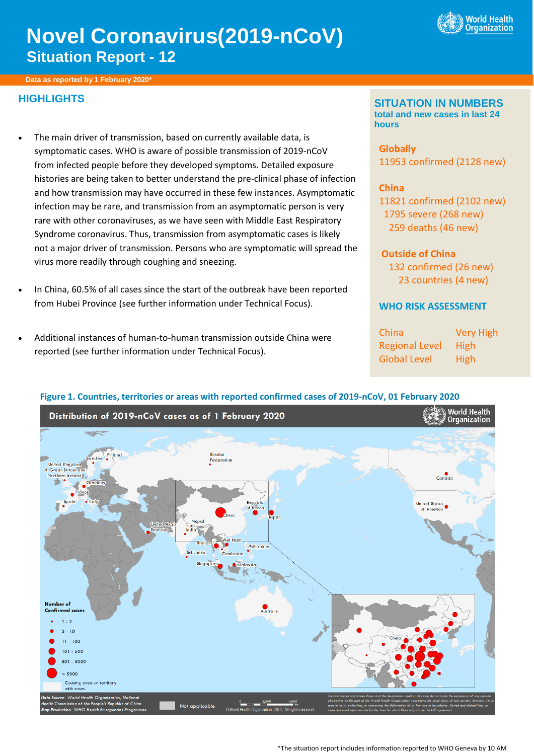

# **Novel Coronavirus(2019-nCoV) Situation Report - 12**

**Data as reported by 1 February 2020\***

# **HIGHLIGHTS**

- The main driver of transmission, based on currently available data, is symptomatic cases. WHO is aware of possible transmission of 2019-nCoV from infected people before they developed symptoms. Detailed exposure histories are being taken to better understand the pre-clinical phase of infection and how transmission may have occurred in these few instances. Asymptomatic infection may be rare, and transmission from an asymptomatic person is very rare with other coronaviruses, as we have seen with Middle East Respiratory Syndrome coronavirus. Thus, transmission from asymptomatic cases is likely not a major driver of transmission. Persons who are symptomatic will spread the virus more readily through coughing and sneezing.
- In China, 60.5% of all cases since the start of the outbreak have been reported from Hubei Province (see further information under Technical Focus).
- Additional instances of human-to-human transmission outside China were reported (see further information under Technical Focus).

#### **SITUATION IN NUMBERS total and new cases in last 24 hours**

**Globally**  11953 confirmed (2128 new)

#### **China**

11821 confirmed (2102 new) 1795 severe (268 new) 259 deaths (46 new)

#### **Outside of China**

 132 confirmed (26 new) 23 countries (4 new)

## **WHO RISK ASSESSMENT**

China Very High Regional Level High Global Level High



#### **Figure 1. Countries, territories or areas with reported confirmed cases of 2019-nCoV, 01 February 2020**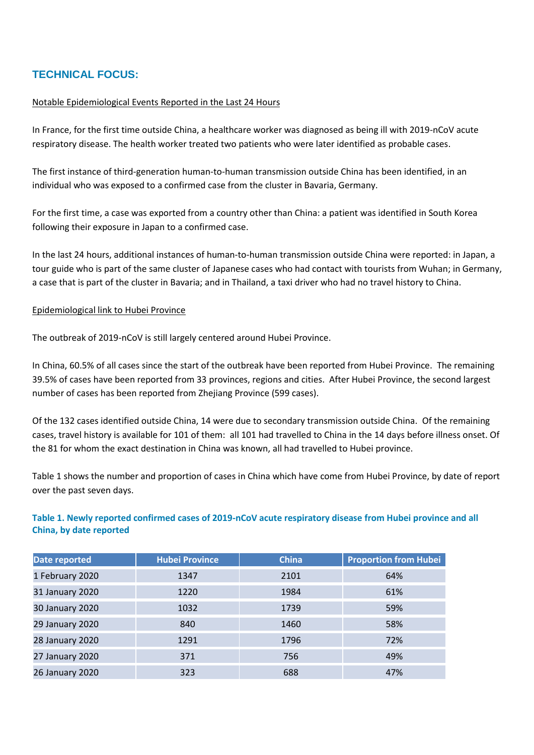# **TECHNICAL FOCUS:**

#### Notable Epidemiological Events Reported in the Last 24 Hours

In France, for the first time outside China, a healthcare worker was diagnosed as being ill with 2019-nCoV acute respiratory disease. The health worker treated two patients who were later identified as probable cases.

The first instance of third-generation human-to-human transmission outside China has been identified, in an individual who was exposed to a confirmed case from the cluster in Bavaria, Germany.

For the first time, a case was exported from a country other than China: a patient was identified in South Korea following their exposure in Japan to a confirmed case.

In the last 24 hours, additional instances of human-to-human transmission outside China were reported: in Japan, a tour guide who is part of the same cluster of Japanese cases who had contact with tourists from Wuhan; in Germany, a case that is part of the cluster in Bavaria; and in Thailand, a taxi driver who had no travel history to China.

#### Epidemiological link to Hubei Province

The outbreak of 2019-nCoV is still largely centered around Hubei Province.

In China, 60.5% of all cases since the start of the outbreak have been reported from Hubei Province. The remaining 39.5% of cases have been reported from 33 provinces, regions and cities. After Hubei Province, the second largest number of cases has been reported from Zhejiang Province (599 cases).

Of the 132 cases identified outside China, 14 were due to secondary transmission outside China. Of the remaining cases, travel history is available for 101 of them: all 101 had travelled to China in the 14 days before illness onset. Of the 81 for whom the exact destination in China was known, all had travelled to Hubei province.

Table 1 shows the number and proportion of cases in China which have come from Hubei Province, by date of report over the past seven days.

#### **Table 1. Newly reported confirmed cases of 2019-nCoV acute respiratory disease from Hubei province and all China, by date reported**

| Date reported   | <b>Hubei Province</b> | <b>China</b> | <b>Proportion from Hubei</b> |
|-----------------|-----------------------|--------------|------------------------------|
| 1 February 2020 | 1347                  | 2101         | 64%                          |
| 31 January 2020 | 1220                  | 1984         | 61%                          |
| 30 January 2020 | 1032                  | 1739         | 59%                          |
| 29 January 2020 | 840                   | 1460         | 58%                          |
| 28 January 2020 | 1291                  | 1796         | 72%                          |
| 27 January 2020 | 371                   | 756          | 49%                          |
| 26 January 2020 | 323                   | 688          | 47%                          |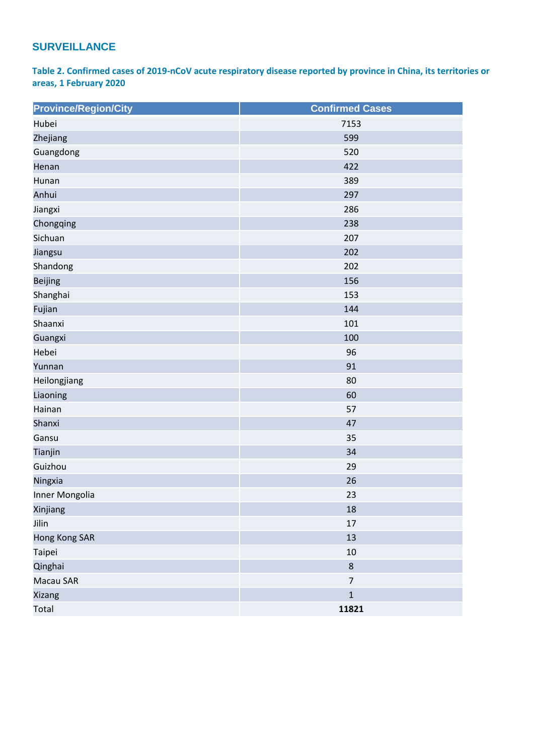# **SURVEILLANCE**

**Table 2. Confirmed cases of 2019-nCoV acute respiratory disease reported by province in China, its territories or areas, 1 February 2020**

| <b>Province/Region/City</b> | <b>Confirmed Cases</b> |  |
|-----------------------------|------------------------|--|
| Hubei                       | 7153                   |  |
| Zhejiang                    | 599                    |  |
| Guangdong                   | 520                    |  |
| Henan                       | 422                    |  |
| Hunan                       | 389                    |  |
| Anhui                       | 297                    |  |
| Jiangxi                     | 286                    |  |
| Chongqing                   | 238                    |  |
| Sichuan                     | 207                    |  |
| Jiangsu                     | 202                    |  |
| Shandong                    | 202                    |  |
| <b>Beijing</b>              | 156                    |  |
| Shanghai                    | 153                    |  |
| Fujian                      | 144                    |  |
| Shaanxi                     | 101                    |  |
| Guangxi                     | 100                    |  |
| Hebei                       | 96                     |  |
| Yunnan                      | 91                     |  |
| Heilongjiang                | 80                     |  |
| Liaoning                    | 60                     |  |
| Hainan                      | 57                     |  |
| Shanxi                      | 47                     |  |
| Gansu                       | 35                     |  |
| Tianjin                     | 34                     |  |
| Guizhou                     | 29                     |  |
| Ningxia                     | 26                     |  |
| Inner Mongolia              | 23                     |  |
| Xinjiang                    | 18                     |  |
| Jilin                       | 17                     |  |
| Hong Kong SAR               | 13                     |  |
| Taipei                      | 10                     |  |
| Qinghai                     | $\,8\,$                |  |
| Macau SAR                   | $\overline{7}$         |  |
| Xizang                      | $\mathbf 1$            |  |
| Total                       | 11821                  |  |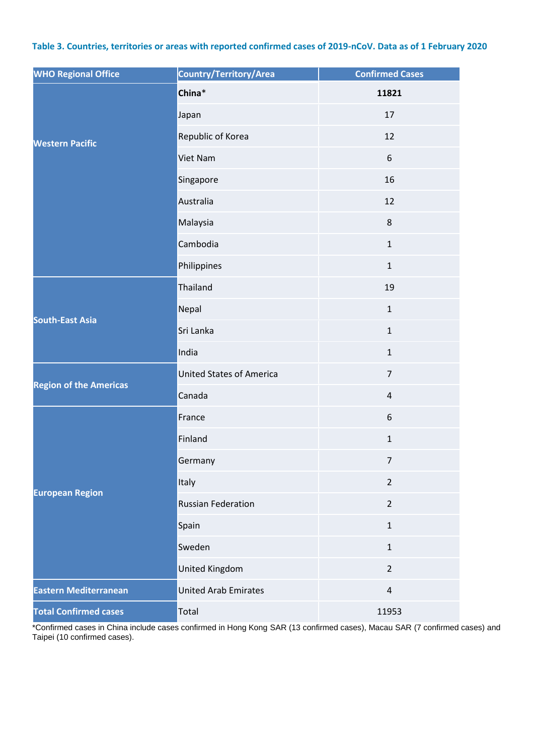#### **Table 3. Countries, territories or areas with reported confirmed cases of 2019-nCoV. Data as of 1 February 2020**

| <b>WHO Regional Office</b>    | Country/Territory/Area          | <b>Confirmed Cases</b> |
|-------------------------------|---------------------------------|------------------------|
|                               | China*                          | 11821                  |
|                               | Japan                           | 17                     |
| <b>Western Pacific</b>        | Republic of Korea               | 12                     |
|                               | Viet Nam                        | 6                      |
|                               | Singapore                       | 16                     |
|                               | Australia                       | 12                     |
|                               | Malaysia                        | 8                      |
|                               | Cambodia                        | $\mathbf{1}$           |
|                               | Philippines                     | $\mathbf{1}$           |
|                               | Thailand                        | 19                     |
| <b>South-East Asia</b>        | Nepal                           | $\mathbf{1}$           |
|                               | Sri Lanka                       | $\mathbf{1}$           |
|                               | India                           | $\mathbf{1}$           |
|                               | <b>United States of America</b> | $\overline{7}$         |
| <b>Region of the Americas</b> | Canada                          | $\sqrt{4}$             |
|                               | France                          | 6                      |
|                               | Finland                         | $\mathbf{1}$           |
|                               | Germany                         | $\overline{7}$         |
| <b>European Region</b>        | Italy                           | $\overline{2}$         |
|                               | <b>Russian Federation</b>       | $\overline{2}$         |
|                               | Spain                           | $\mathbf{1}$           |
|                               | Sweden                          | $\mathbf{1}$           |
|                               | <b>United Kingdom</b>           | $\overline{2}$         |
| <b>Eastern Mediterranean</b>  | <b>United Arab Emirates</b>     | $\overline{4}$         |
| <b>Total Confirmed cases</b>  | Total                           | 11953                  |

\*Confirmed cases in China include cases confirmed in Hong Kong SAR (13 confirmed cases), Macau SAR (7 confirmed cases) and Taipei (10 confirmed cases).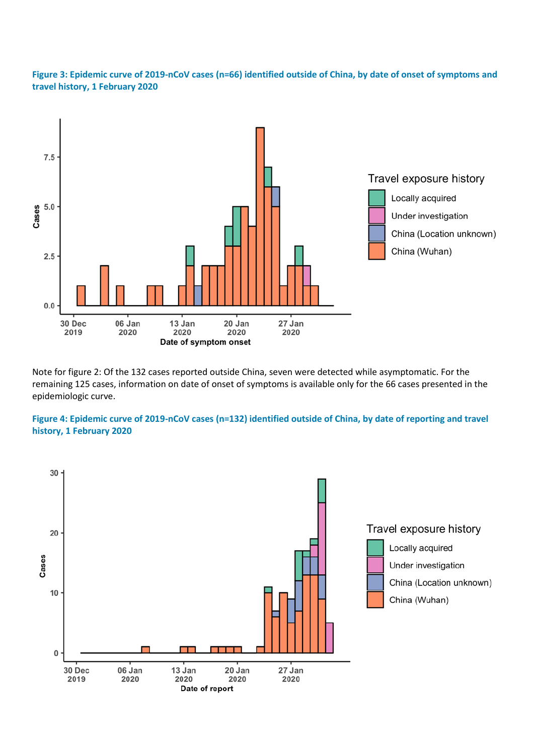#### **Figure 3: Epidemic curve of 2019-nCoV cases (n=66) identified outside of China, by date of onset of symptoms and travel history, 1 February 2020**



Note for figure 2: Of the 132 cases reported outside China, seven were detected while asymptomatic. For the remaining 125 cases, information on date of onset of symptoms is available only for the 66 cases presented in the epidemiologic curve.

#### **Figure 4: Epidemic curve of 2019-nCoV cases (n=132) identified outside of China, by date of reporting and travel history, 1 February 2020**

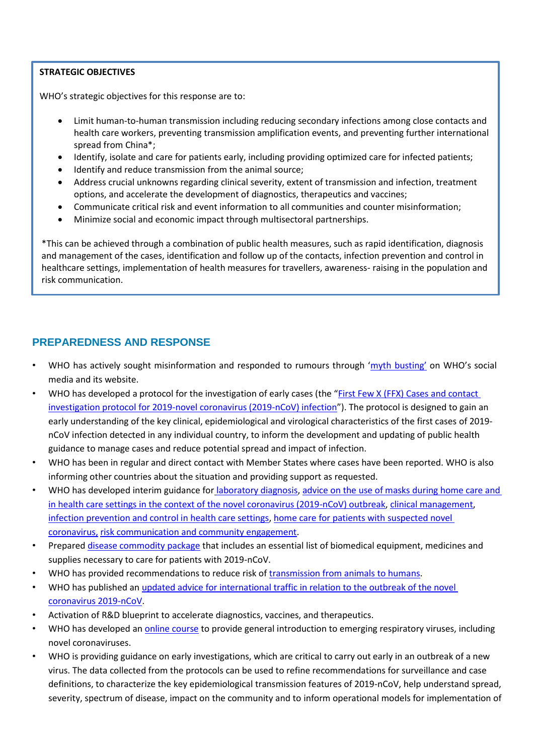## **STRATEGIC OBJECTIVES**

WHO's strategic objectives for this response are to:

- Limit human-to-human transmission including reducing secondary infections among close contacts and health care workers, preventing transmission amplification events, and preventing further international spread from China\*;
- Identify, isolate and care for patients early, including providing optimized care for infected patients;
- Identify and reduce transmission from the animal source;
- Address crucial unknowns regarding clinical severity, extent of transmission and infection, treatment options, and accelerate the development of diagnostics, therapeutics and vaccines;
- Communicate critical risk and event information to all communities and counter misinformation;
- Minimize social and economic impact through multisectoral partnerships.

\*This can be achieved through a combination of public health measures, such as rapid identification, diagnosis and management of the cases, identification and follow up of the contacts, infection prevention and control in healthcare settings, implementation of health measures for travellers, awareness- raising in the population and risk communication.

# **PREPAREDNESS AND RESPONSE**

- WHO has actively sought misinformation and responded to rumours through ['myth busting'](https://www.who.int/emergencies/diseases/novel-coronavirus-2019/advice-for-public/myth-busters) on WHO's social media and it[s website.](https://www.who.int/emergencies/diseases/novel-coronavirus-2019/advice-for-public/myth-busters)
- WHO has developed a protocol for the investigation of early cases (the "First Few X (FFX) Cases and contact [investigation protocol for 2019-novel coronavirus \(2019-nCoV\) infection](https://www.who.int/publications-detail/the-first-few-x-(ffx)-cases-and-contact-investigation-protocol-for-2019-novel-coronavirus-(2019-ncov)-infection)"). The protocol is designed to gain an early understanding of the key clinical, epidemiological and virological characteristics of the first cases of 2019 nCoV infection detected in any individual country, to inform the development and updating of public health guidance to manage cases and reduce potential spread and impact of infection.
- WHO has been in regular and direct contact with Member States where cases have been reported. WHO is also informing other countries about the situation and providing support as requested.
- WHO has developed interim guidance for [laboratory diagnosis,](https://www.who.int/health-topics/coronavirus/laboratory-diagnostics-for-novel-coronavirus) [advice on the use of masks during home care and](https://www.who.int/publications-detail/advice-on-the-use-of-masks-the-community-during-home-care-and-in-health-care-settings-in-the-context-of-the-novel-coronavirus-(2019-ncov)-outbreak)  [in health care settings in the context of the novel coronavirus \(2019-nCoV\) outbreak,](https://www.who.int/publications-detail/advice-on-the-use-of-masks-the-community-during-home-care-and-in-health-care-settings-in-the-context-of-the-novel-coronavirus-(2019-ncov)-outbreak) [clinical management](https://www.who.int/publications-detail/clinical-management-of-severe-acute-respiratory-infection-when-novel-coronavirus-(ncov)-infection-is-suspected)[,](https://www.who.int/publications-detail/infection-prevention-and-control-during-health-care-when-novel-coronavirus-(ncov)-infection-is-suspected) [infection prevention and control in health care settings,](https://www.who.int/publications-detail/infection-prevention-and-control-during-health-care-when-novel-coronavirus-(ncov)-infection-is-suspected) [home care for patients with suspected novel](https://www.who.int/publications-detail/home-care-for-patients-with-suspected-novel-coronavirus-(ncov)-infection-presenting-with-mild-symptoms-and-management-of-contacts)  [coronavirus,](https://www.who.int/publications-detail/home-care-for-patients-with-suspected-novel-coronavirus-(ncov)-infection-presenting-with-mild-symptoms-and-management-of-contacts) [risk communication and community engagement.](https://www.who.int/publications-detail/risk-communication-and-community-engagement-readiness-and-initial-response-for-novel-coronaviruses-(-ncov))
- Prepare[d disease commodity package](https://www.who.int/publications-detail/disease-commodity-package---novel-coronavirus-(ncov)) that includes an essential list of biomedical equipment, medicines and supplies necessary to care for patients with 2019-nCoV.
- WHO has provided recommendations to reduce risk of [transmission from animals to humans.](https://www.who.int/health-topics/coronavirus/who-recommendations-to-reduce-risk-of-transmission-of-emerging-pathogens-from-animals-to-humans-in-live-animal-markets)
- WHO has published an [updated advice for international traffic in relation to the outbreak of the novel](https://www.who.int/ith/2020-24-01-outbreak-of-Pneumonia-caused-by-new-coronavirus/en/)  [coronavirus 2019-nCoV.](https://www.who.int/ith/2020-24-01-outbreak-of-Pneumonia-caused-by-new-coronavirus/en/)
- Activation of R&D blueprint to accelerate diagnostics, vaccines, and therapeutics.
- WHO has developed an *online course* to provide general introduction to emerging respiratory viruses, including novel coronaviruses.
- WHO is providing guidance on early investigations, which are critical to carry out early in an outbreak of a new virus. The data collected from the protocols can be used to refine recommendations for surveillance and case definitions, to characterize the key epidemiological transmission features of 2019-nCoV, help understand spread, severity, spectrum of disease, impact on the community and to inform operational models for implementation of